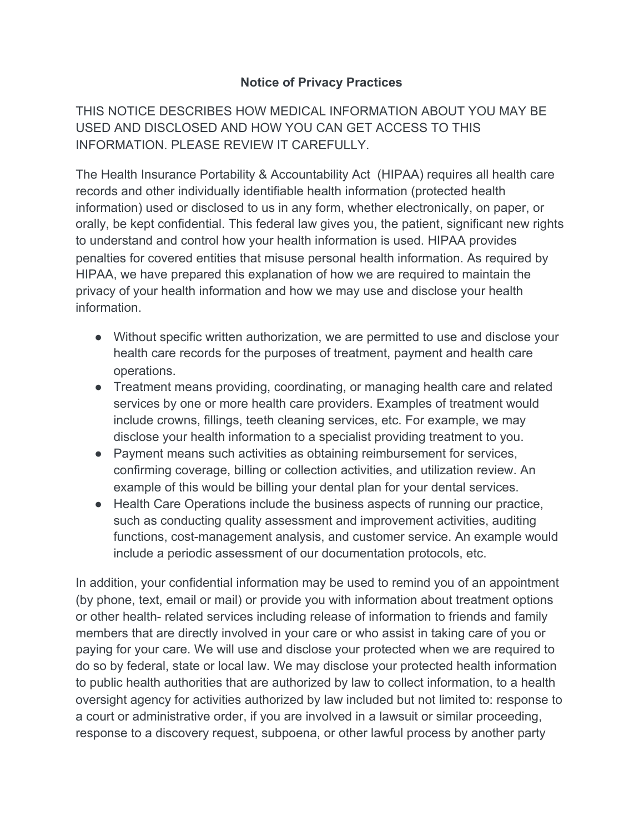## **Notice of Privacy Practices**

THIS NOTICE DESCRIBES HOW MEDICAL INFORMATION ABOUT YOU MAY BE USED AND DISCLOSED AND HOW YOU CAN GET ACCESS TO THIS INFORMATION. PLEASE REVIEW IT CAREFULLY.

The Health Insurance Portability & Accountability Act (HIPAA) requires all health care records and other individually identifiable health information (protected health information) used or disclosed to us in any form, whether electronically, on paper, or orally, be kept confidential. This federal law gives you, the patient, significant new rights to understand and control how your health information is used. HIPAA provides penalties for covered entities that misuse personal health information. As required by HIPAA, we have prepared this explanation of how we are required to maintain the privacy of your health information and how we may use and disclose your health information.

- Without specific written authorization, we are permitted to use and disclose your health care records for the purposes of treatment, payment and health care operations.
- Treatment means providing, coordinating, or managing health care and related services by one or more health care providers. Examples of treatment would include crowns, fillings, teeth cleaning services, etc. For example, we may disclose your health information to a specialist providing treatment to you.
- Payment means such activities as obtaining reimbursement for services, confirming coverage, billing or collection activities, and utilization review. An example of this would be billing your dental plan for your dental services.
- Health Care Operations include the business aspects of running our practice, such as conducting quality assessment and improvement activities, auditing functions, cost-management analysis, and customer service. An example would include a periodic assessment of our documentation protocols, etc.

In addition, your confidential information may be used to remind you of an appointment (by phone, text, email or mail) or provide you with information about treatment options or other health- related services including release of information to friends and family members that are directly involved in your care or who assist in taking care of you or paying for your care. We will use and disclose your protected when we are required to do so by federal, state or local law. We may disclose your protected health information to public health authorities that are authorized by law to collect information, to a health oversight agency for activities authorized by law included but not limited to: response to a court or administrative order, if you are involved in a lawsuit or similar proceeding, response to a discovery request, subpoena, or other lawful process by another party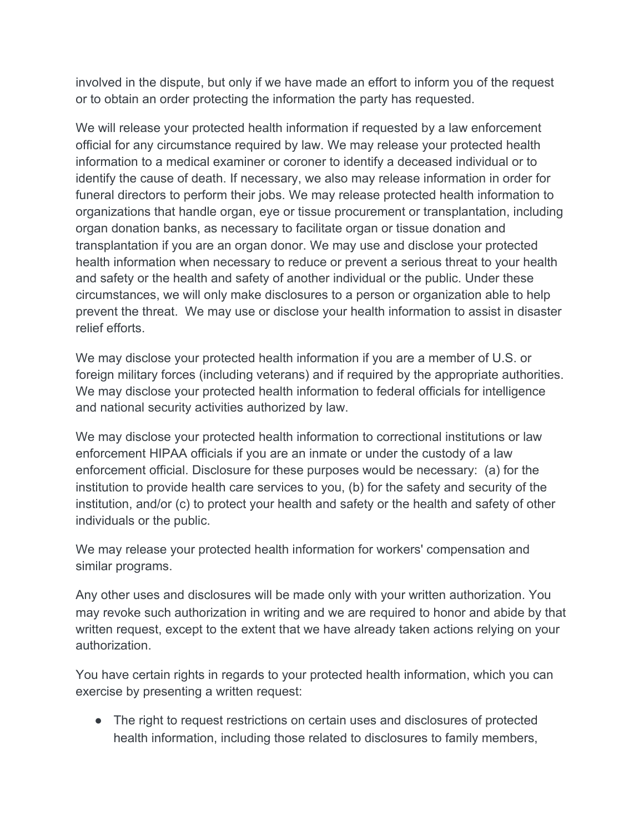involved in the dispute, but only if we have made an effort to inform you of the request or to obtain an order protecting the information the party has requested.

We will release your protected health information if requested by a law enforcement official for any circumstance required by law. We may release your protected health information to a medical examiner or coroner to identify a deceased individual or to identify the cause of death. If necessary, we also may release information in order for funeral directors to perform their jobs. We may release protected health information to organizations that handle organ, eye or tissue procurement or transplantation, including organ donation banks, as necessary to facilitate organ or tissue donation and transplantation if you are an organ donor. We may use and disclose your protected health information when necessary to reduce or prevent a serious threat to your health and safety or the health and safety of another individual or the public. Under these circumstances, we will only make disclosures to a person or organization able to help prevent the threat. We may use or disclose your health information to assist in disaster relief efforts.

We may disclose your protected health information if you are a member of U.S. or foreign military forces (including veterans) and if required by the appropriate authorities. We may disclose your protected health information to federal officials for intelligence and national security activities authorized by law.

We may disclose your protected health information to correctional institutions or law enforcement HIPAA officials if you are an inmate or under the custody of a law enforcement official. Disclosure for these purposes would be necessary: (a) for the institution to provide health care services to you, (b) for the safety and security of the institution, and/or (c) to protect your health and safety or the health and safety of other individuals or the public.

We may release your protected health information for workers' compensation and similar programs.

Any other uses and disclosures will be made only with your written authorization. You may revoke such authorization in writing and we are required to honor and abide by that written request, except to the extent that we have already taken actions relying on your authorization.

You have certain rights in regards to your protected health information, which you can exercise by presenting a written request:

● The right to request restrictions on certain uses and disclosures of protected health information, including those related to disclosures to family members,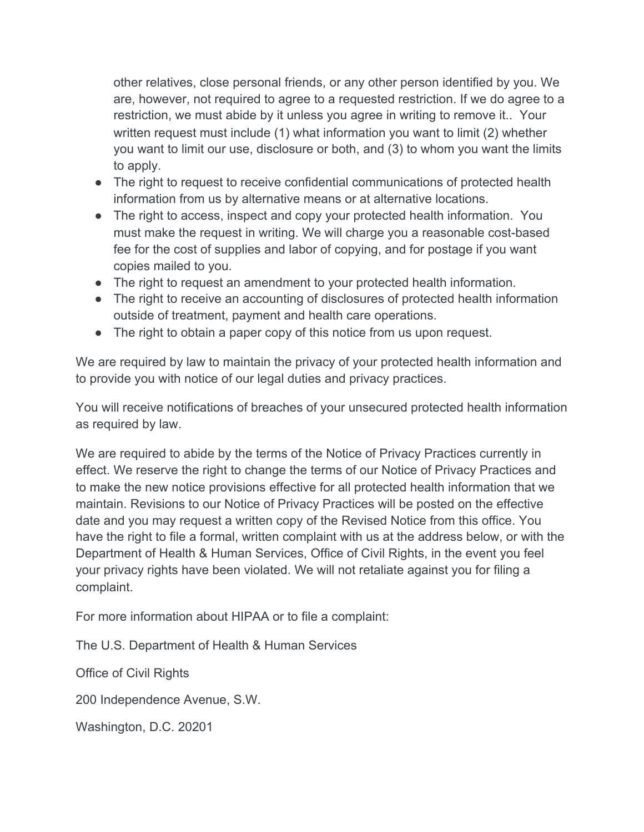other relatives, close personal friends, or any other person identified by you. We are, however, not required to agree to a requested restriction. If we do agree to a restriction, we must abide by it unless you agree in writing to remove it.. Your written request must include (1) what information you want to limit (2) whether you want to limit our use, disclosure or both, and (3) to whom you want the limits to apply.

- The right to request to receive confidential communications of protected health information from us by alternative means or at alternative locations.
- The right to access, inspect and copy your protected health information. You must make the request in writing. We will charge you a reasonable cost-based fee for the cost of supplies and labor of copying, and for postage if you want copies mailed to you.
- The right to request an amendment to your protected health information.
- The right to receive an accounting of disclosures of protected health information outside of treatment, payment and health care operations.
- The right to obtain a paper copy of this notice from us upon request.

We are required by law to maintain the privacy of your protected health information and to provide you with notice of our legal duties and privacy practices.

You will receive notifications of breaches of your unsecured protected health information as required by law.

We are required to abide by the terms of the Notice of Privacy Practices currently in effect. We reserve the right to change the terms of our Notice of Privacy Practices and to make the new notice provisions effective for all protected health information that we maintain. Revisions to our Notice of Privacy Practices will be posted on the effective date and you may request a written copy of the Revised Notice from this office. You have the right to file a formal, written complaint with us at the address below, or with the Department of Health & Human Services, Office of Civil Rights, in the event you feel your privacy rights have been violated. We will not retaliate against you for filing a complaint.

For more information about HIPAA or to file a complaint:

The U.S. Department of Health & Human Services

Office of Civil Rights

200 Independence Avenue, S.W.

Washington, D.C. 20201